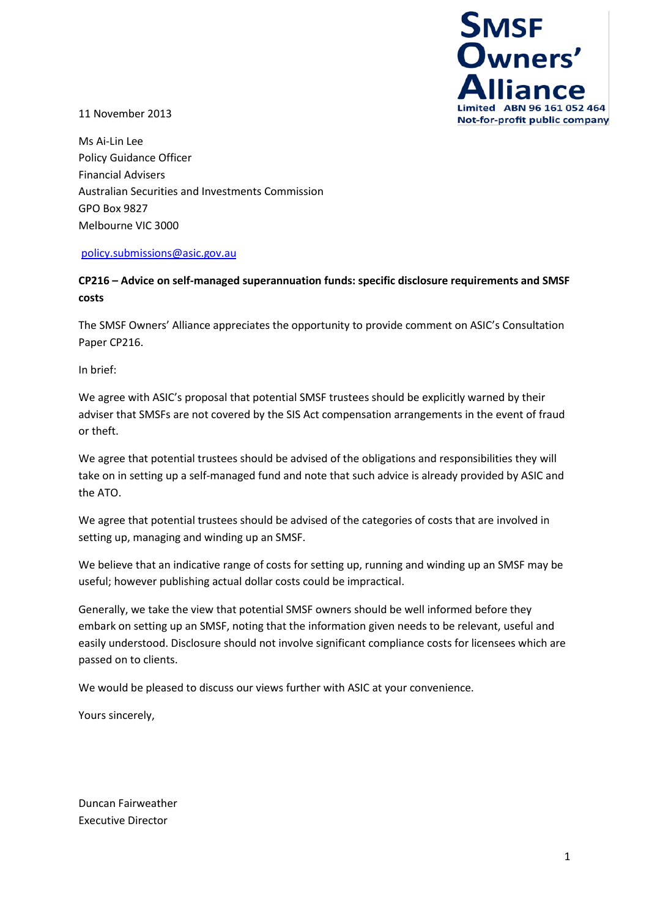

11 November 2013

Ms Ai-Lin Lee Policy Guidance Officer Financial Advisers Australian Securities and Investments Commission GPO Box 9827 Melbourne VIC 3000

#### [policy.submissions@asic.gov.au](mailto:policy.submissions@asic.gov.au)

**CP216 – Advice on self-managed superannuation funds: specific disclosure requirements and SMSF costs** 

The SMSF Owners' Alliance appreciates the opportunity to provide comment on ASIC's Consultation Paper CP216.

In brief:

We agree with ASIC's proposal that potential SMSF trustees should be explicitly warned by their adviser that SMSFs are not covered by the SIS Act compensation arrangements in the event of fraud or theft.

We agree that potential trustees should be advised of the obligations and responsibilities they will take on in setting up a self-managed fund and note that such advice is already provided by ASIC and the ATO.

We agree that potential trustees should be advised of the categories of costs that are involved in setting up, managing and winding up an SMSF.

We believe that an indicative range of costs for setting up, running and winding up an SMSF may be useful; however publishing actual dollar costs could be impractical.

Generally, we take the view that potential SMSF owners should be well informed before they embark on setting up an SMSF, noting that the information given needs to be relevant, useful and easily understood. Disclosure should not involve significant compliance costs for licensees which are passed on to clients.

We would be pleased to discuss our views further with ASIC at your convenience.

Yours sincerely,

Duncan Fairweather Executive Director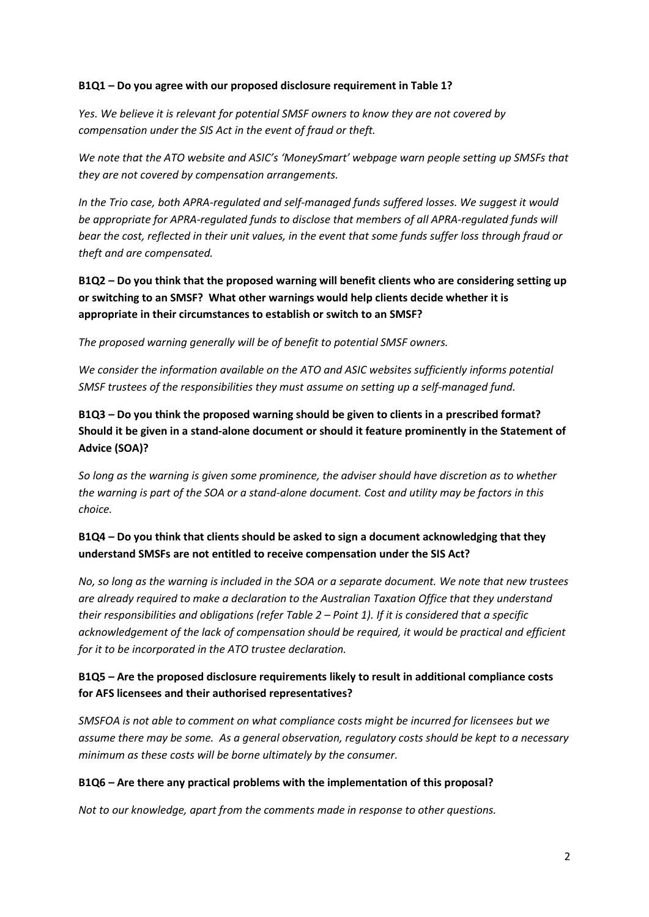#### **B1Q1 – Do you agree with our proposed disclosure requirement in Table 1?**

*Yes. We believe it is relevant for potential SMSF owners to know they are not covered by compensation under the SIS Act in the event of fraud or theft.*

*We note that the ATO website and ASIC's 'MoneySmart' webpage warn people setting up SMSFs that they are not covered by compensation arrangements.*

*In the Trio case, both APRA-regulated and self-managed funds suffered losses. We suggest it would be appropriate for APRA-regulated funds to disclose that members of all APRA-regulated funds will bear the cost, reflected in their unit values, in the event that some funds suffer loss through fraud or theft and are compensated.*

**B1Q2 – Do you think that the proposed warning will benefit clients who are considering setting up or switching to an SMSF? What other warnings would help clients decide whether it is appropriate in their circumstances to establish or switch to an SMSF?** 

*The proposed warning generally will be of benefit to potential SMSF owners.*

*We consider the information available on the ATO and ASIC websites sufficiently informs potential SMSF trustees of the responsibilities they must assume on setting up a self-managed fund.*

**B1Q3 – Do you think the proposed warning should be given to clients in a prescribed format? Should it be given in a stand-alone document or should it feature prominently in the Statement of Advice (SOA)?**

*So long as the warning is given some prominence, the adviser should have discretion as to whether the warning is part of the SOA or a stand-alone document. Cost and utility may be factors in this choice.*

# **B1Q4 – Do you think that clients should be asked to sign a document acknowledging that they understand SMSFs are not entitled to receive compensation under the SIS Act?**

*No, so long as the warning is included in the SOA or a separate document. We note that new trustees are already required to make a declaration to the Australian Taxation Office that they understand their responsibilities and obligations (refer Table 2 – Point 1). If it is considered that a specific acknowledgement of the lack of compensation should be required, it would be practical and efficient for it to be incorporated in the ATO trustee declaration.*

# **B1Q5 – Are the proposed disclosure requirements likely to result in additional compliance costs for AFS licensees and their authorised representatives?**

*SMSFOA is not able to comment on what compliance costs might be incurred for licensees but we assume there may be some. As a general observation, regulatory costs should be kept to a necessary minimum as these costs will be borne ultimately by the consumer.*

### **B1Q6 – Are there any practical problems with the implementation of this proposal?**

*Not to our knowledge, apart from the comments made in response to other questions.*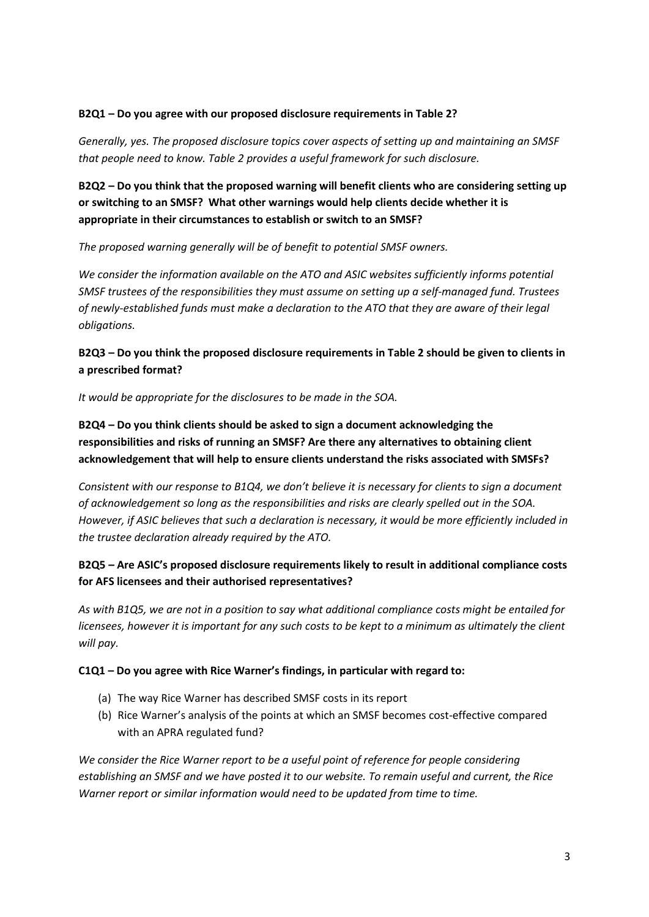#### **B2Q1 – Do you agree with our proposed disclosure requirements in Table 2?**

*Generally, yes. The proposed disclosure topics cover aspects of setting up and maintaining an SMSF that people need to know. Table 2 provides a useful framework for such disclosure.*

**B2Q2 – Do you think that the proposed warning will benefit clients who are considering setting up or switching to an SMSF? What other warnings would help clients decide whether it is appropriate in their circumstances to establish or switch to an SMSF?** 

*The proposed warning generally will be of benefit to potential SMSF owners.*

*We consider the information available on the ATO and ASIC websites sufficiently informs potential SMSF trustees of the responsibilities they must assume on setting up a self-managed fund. Trustees of newly-established funds must make a declaration to the ATO that they are aware of their legal obligations.*

**B2Q3 – Do you think the proposed disclosure requirements in Table 2 should be given to clients in a prescribed format?**

*It would be appropriate for the disclosures to be made in the SOA.*

**B2Q4 – Do you think clients should be asked to sign a document acknowledging the responsibilities and risks of running an SMSF? Are there any alternatives to obtaining client acknowledgement that will help to ensure clients understand the risks associated with SMSFs?**

*Consistent with our response to B1Q4, we don't believe it is necessary for clients to sign a document of acknowledgement so long as the responsibilities and risks are clearly spelled out in the SOA. However, if ASIC believes that such a declaration is necessary, it would be more efficiently included in the trustee declaration already required by the ATO.* 

# **B2Q5 – Are ASIC's proposed disclosure requirements likely to result in additional compliance costs for AFS licensees and their authorised representatives?**

*As with B1Q5, we are not in a position to say what additional compliance costs might be entailed for licensees, however it is important for any such costs to be kept to a minimum as ultimately the client will pay.*

### **C1Q1 – Do you agree with Rice Warner's findings, in particular with regard to:**

- (a) The way Rice Warner has described SMSF costs in its report
- (b) Rice Warner's analysis of the points at which an SMSF becomes cost-effective compared with an APRA regulated fund?

*We consider the Rice Warner report to be a useful point of reference for people considering establishing an SMSF and we have posted it to our website. To remain useful and current, the Rice Warner report or similar information would need to be updated from time to time.*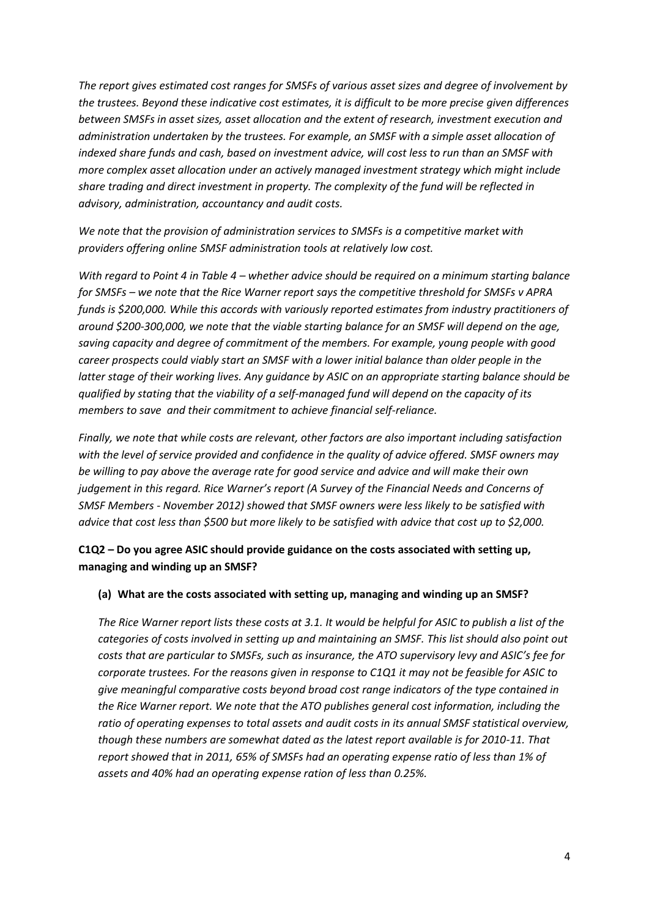*The report gives estimated cost ranges for SMSFs of various asset sizes and degree of involvement by the trustees. Beyond these indicative cost estimates, it is difficult to be more precise given differences between SMSFs in asset sizes, asset allocation and the extent of research, investment execution and administration undertaken by the trustees. For example, an SMSF with a simple asset allocation of indexed share funds and cash, based on investment advice, will cost less to run than an SMSF with more complex asset allocation under an actively managed investment strategy which might include share trading and direct investment in property. The complexity of the fund will be reflected in advisory, administration, accountancy and audit costs.*

*We note that the provision of administration services to SMSFs is a competitive market with providers offering online SMSF administration tools at relatively low cost.*

*With regard to Point 4 in Table 4 – whether advice should be required on a minimum starting balance for SMSFs – we note that the Rice Warner report says the competitive threshold for SMSFs v APRA funds is \$200,000. While this accords with variously reported estimates from industry practitioners of around \$200-300,000, we note that the viable starting balance for an SMSF will depend on the age, saving capacity and degree of commitment of the members. For example, young people with good career prospects could viably start an SMSF with a lower initial balance than older people in the latter stage of their working lives. Any guidance by ASIC on an appropriate starting balance should be qualified by stating that the viability of a self-managed fund will depend on the capacity of its members to save and their commitment to achieve financial self-reliance.*

*Finally, we note that while costs are relevant, other factors are also important including satisfaction with the level of service provided and confidence in the quality of advice offered. SMSF owners may be willing to pay above the average rate for good service and advice and will make their own judgement in this regard. Rice Warner's report (A Survey of the Financial Needs and Concerns of SMSF Members - November 2012) showed that SMSF owners were less likely to be satisfied with* advice that cost less than \$500 but more likely to be satisfied with advice that cost up to \$2,000.

### **C1Q2 – Do you agree ASIC should provide guidance on the costs associated with setting up, managing and winding up an SMSF?**

#### **(a) What are the costs associated with setting up, managing and winding up an SMSF?**

*The Rice Warner report lists these costs at 3.1. It would be helpful for ASIC to publish a list of the categories of costs involved in setting up and maintaining an SMSF. This list should also point out costs that are particular to SMSFs, such as insurance, the ATO supervisory levy and ASIC's fee for corporate trustees. For the reasons given in response to C1Q1 it may not be feasible for ASIC to give meaningful comparative costs beyond broad cost range indicators of the type contained in the Rice Warner report. We note that the ATO publishes general cost information, including the ratio of operating expenses to total assets and audit costs in its annual SMSF statistical overview, though these numbers are somewhat dated as the latest report available is for 2010-11. That report showed that in 2011, 65% of SMSFs had an operating expense ratio of less than 1% of assets and 40% had an operating expense ration of less than 0.25%.*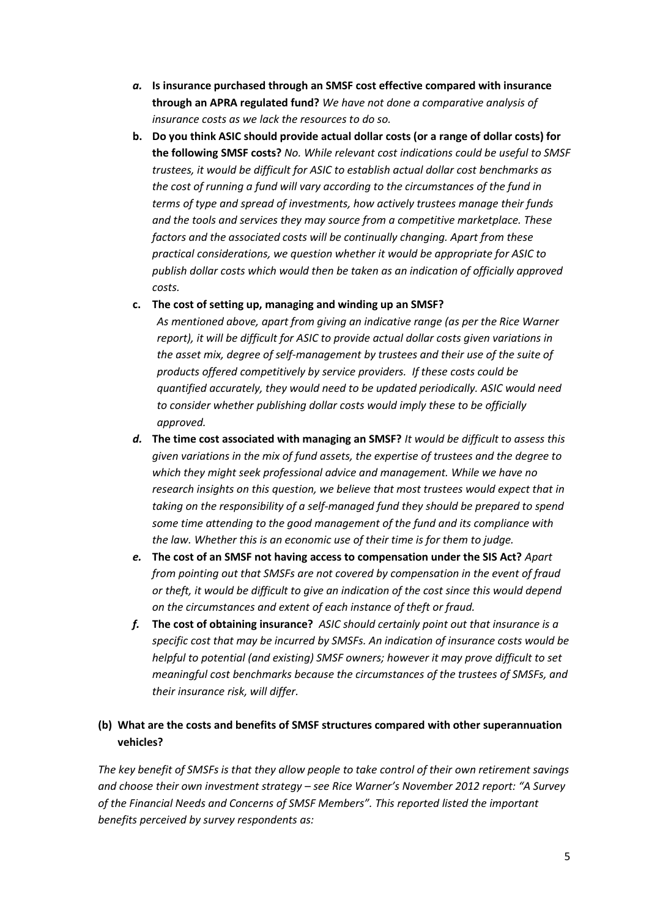- *a.* **Is insurance purchased through an SMSF cost effective compared with insurance through an APRA regulated fund?** *We have not done a comparative analysis of insurance costs as we lack the resources to do so.*
- **b. Do you think ASIC should provide actual dollar costs (or a range of dollar costs) for the following SMSF costs?** *No. While relevant cost indications could be useful to SMSF trustees, it would be difficult for ASIC to establish actual dollar cost benchmarks as the cost of running a fund will vary according to the circumstances of the fund in terms of type and spread of investments, how actively trustees manage their funds and the tools and services they may source from a competitive marketplace. These factors and the associated costs will be continually changing. Apart from these practical considerations, we question whether it would be appropriate for ASIC to publish dollar costs which would then be taken as an indication of officially approved costs.*
- **c. The cost of setting up, managing and winding up an SMSF?**

*As mentioned above, apart from giving an indicative range (as per the Rice Warner report), it will be difficult for ASIC to provide actual dollar costs given variations in the asset mix, degree of self-management by trustees and their use of the suite of products offered competitively by service providers. If these costs could be quantified accurately, they would need to be updated periodically. ASIC would need to consider whether publishing dollar costs would imply these to be officially approved.*

- *d.* **The time cost associated with managing an SMSF?** *It would be difficult to assess this given variations in the mix of fund assets, the expertise of trustees and the degree to which they might seek professional advice and management. While we have no research insights on this question, we believe that most trustees would expect that in taking on the responsibility of a self-managed fund they should be prepared to spend some time attending to the good management of the fund and its compliance with the law. Whether this is an economic use of their time is for them to judge.*
- *e.* **The cost of an SMSF not having access to compensation under the SIS Act?** *Apart from pointing out that SMSFs are not covered by compensation in the event of fraud or theft, it would be difficult to give an indication of the cost since this would depend on the circumstances and extent of each instance of theft or fraud.*
- *f.* **The cost of obtaining insurance?** *ASIC should certainly point out that insurance is a specific cost that may be incurred by SMSFs. An indication of insurance costs would be helpful to potential (and existing) SMSF owners; however it may prove difficult to set meaningful cost benchmarks because the circumstances of the trustees of SMSFs, and their insurance risk, will differ.*

### **(b) What are the costs and benefits of SMSF structures compared with other superannuation vehicles?**

*The key benefit of SMSFs is that they allow people to take control of their own retirement savings and choose their own investment strategy – see Rice Warner's November 2012 report: "A Survey of the Financial Needs and Concerns of SMSF Members". This reported listed the important benefits perceived by survey respondents as:*